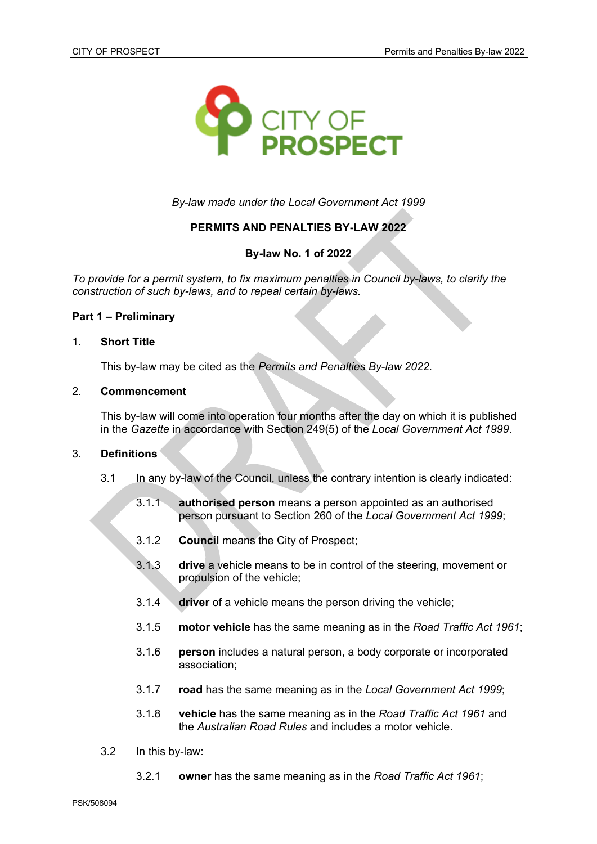

*By-law made under the Local Government Act 1999*

# **PERMITS AND PENALTIES BY-LAW 2022**

# **By-law No. 1 of 2022**

*To provide for a permit system, to fix maximum penalties in Council by-laws, to clarify the construction of such by-laws, and to repeal certain by-laws.*

## **Part 1 – Preliminary**

### 1. **Short Title**

This by-law may be cited as the *Permits and Penalties By-law 2022*.

### 2. **Commencement**

This by-law will come into operation four months after the day on which it is published in the *Gazette* in accordance with Section 249(5) of the *Local Government Act 1999*.

### 3. **Definitions**

- 3.1 In any by-law of the Council, unless the contrary intention is clearly indicated:
	- 3.1.1 **authorised person** means a person appointed as an authorised person pursuant to Section 260 of the *Local Government Act 1999*;
	- 3.1.2 **Council** means the City of Prospect;
	- 3.1.3 **drive** a vehicle means to be in control of the steering, movement or propulsion of the vehicle;
	- 3.1.4 **driver** of a vehicle means the person driving the vehicle;
	- 3.1.5 **motor vehicle** has the same meaning as in the *Road Traffic Act 1961*;
	- 3.1.6 **person** includes a natural person, a body corporate or incorporated association;
	- 3.1.7 **road** has the same meaning as in the *Local Government Act 1999*;
	- 3.1.8 **vehicle** has the same meaning as in the *Road Traffic Act 1961* and the *Australian Road Rules* and includes a motor vehicle.
- 3.2 In this by-law:
	- 3.2.1 **owner** has the same meaning as in the *Road Traffic Act 1961*;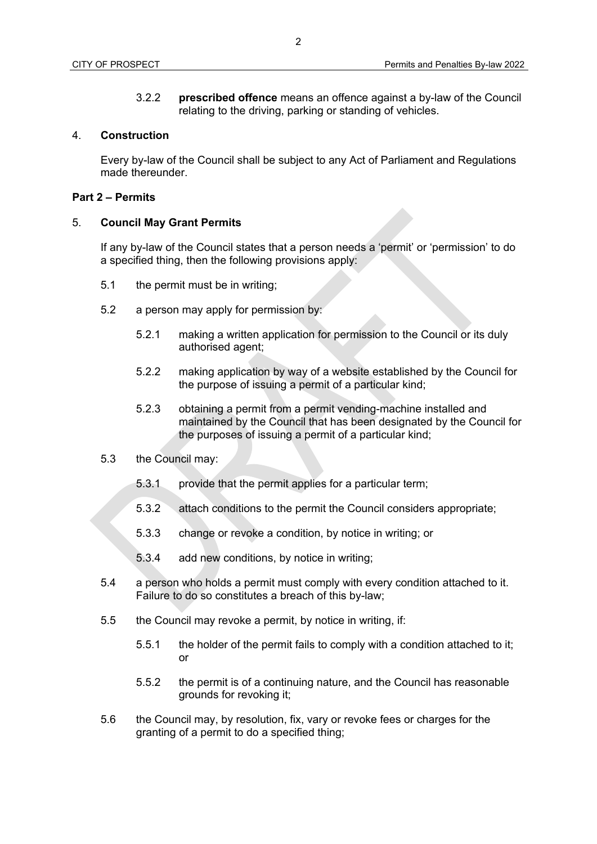3.2.2 **prescribed offence** means an offence against a by-law of the Council relating to the driving, parking or standing of vehicles.

#### 4. **Construction**

Every by-law of the Council shall be subject to any Act of Parliament and Regulations made thereunder.

## **Part 2 – Permits**

#### 5. **Council May Grant Permits**

If any by-law of the Council states that a person needs a 'permit' or 'permission' to do a specified thing, then the following provisions apply:

- 5.1 the permit must be in writing;
- 5.2 a person may apply for permission by:
	- 5.2.1 making a written application for permission to the Council or its duly authorised agent;
	- 5.2.2 making application by way of a website established by the Council for the purpose of issuing a permit of a particular kind;
	- 5.2.3 obtaining a permit from a permit vending-machine installed and maintained by the Council that has been designated by the Council for the purposes of issuing a permit of a particular kind;
- 5.3 the Council may:
	- 5.3.1 provide that the permit applies for a particular term;
	- 5.3.2 attach conditions to the permit the Council considers appropriate;
	- 5.3.3 change or revoke a condition, by notice in writing; or
	- 5.3.4 add new conditions, by notice in writing;
- 5.4 a person who holds a permit must comply with every condition attached to it. Failure to do so constitutes a breach of this by-law;
- 5.5 the Council may revoke a permit, by notice in writing, if:
	- 5.5.1 the holder of the permit fails to comply with a condition attached to it; or
	- 5.5.2 the permit is of a continuing nature, and the Council has reasonable grounds for revoking it;
- 5.6 the Council may, by resolution, fix, vary or revoke fees or charges for the granting of a permit to do a specified thing;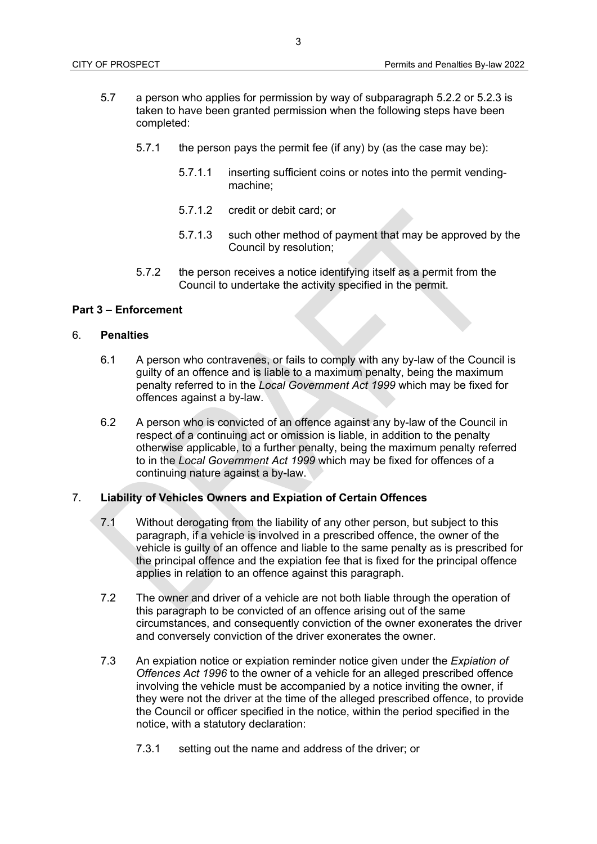- 5.7 a person who applies for permission by way of subparagraph 5.2.2 or 5.2.3 is taken to have been granted permission when the following steps have been completed:
	- 5.7.1 the person pays the permit fee (if any) by (as the case may be):
		- 5.7.1.1 inserting sufficient coins or notes into the permit vendingmachine;
		- 5.7.1.2 credit or debit card; or
		- 5.7.1.3 such other method of payment that may be approved by the Council by resolution;
	- 5.7.2 the person receives a notice identifying itself as a permit from the Council to undertake the activity specified in the permit.

## **Part 3 – Enforcement**

### 6. **Penalties**

- 6.1 A person who contravenes, or fails to comply with any by-law of the Council is guilty of an offence and is liable to a maximum penalty, being the maximum penalty referred to in the *Local Government Act 1999* which may be fixed for offences against a by-law.
- 6.2 A person who is convicted of an offence against any by-law of the Council in respect of a continuing act or omission is liable, in addition to the penalty otherwise applicable, to a further penalty, being the maximum penalty referred to in the *Local Government Act 1999* which may be fixed for offences of a continuing nature against a by-law.

### 7. **Liability of Vehicles Owners and Expiation of Certain Offences**

- 7.1 Without derogating from the liability of any other person, but subject to this paragraph, if a vehicle is involved in a prescribed offence, the owner of the vehicle is guilty of an offence and liable to the same penalty as is prescribed for the principal offence and the expiation fee that is fixed for the principal offence applies in relation to an offence against this paragraph.
- 7.2 The owner and driver of a vehicle are not both liable through the operation of this paragraph to be convicted of an offence arising out of the same circumstances, and consequently conviction of the owner exonerates the driver and conversely conviction of the driver exonerates the owner.
- 7.3 An expiation notice or expiation reminder notice given under the *Expiation of Offences Act 1996* to the owner of a vehicle for an alleged prescribed offence involving the vehicle must be accompanied by a notice inviting the owner, if they were not the driver at the time of the alleged prescribed offence, to provide the Council or officer specified in the notice, within the period specified in the notice, with a statutory declaration:
	- 7.3.1 setting out the name and address of the driver; or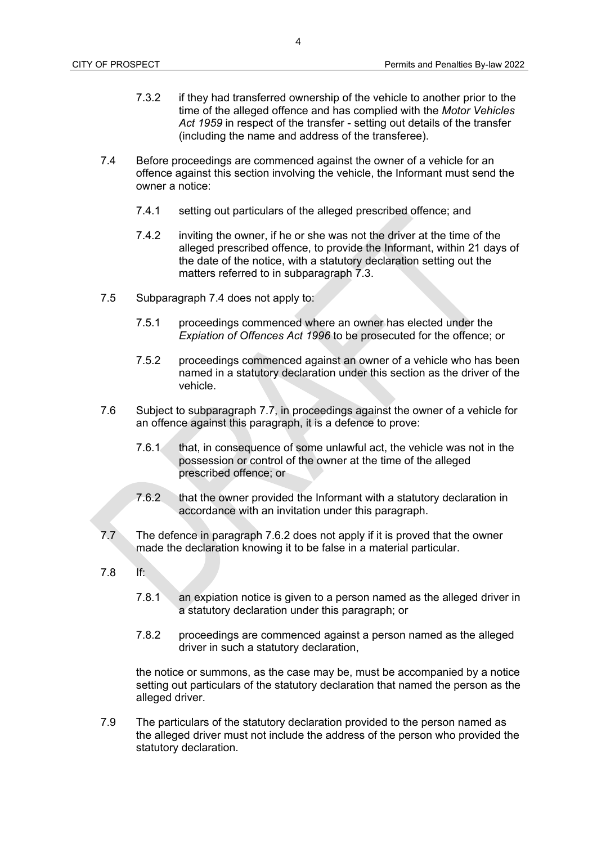- 7.3.2 if they had transferred ownership of the vehicle to another prior to the time of the alleged offence and has complied with the *Motor Vehicles Act 1959* in respect of the transfer - setting out details of the transfer (including the name and address of the transferee).
- 7.4 Before proceedings are commenced against the owner of a vehicle for an offence against this section involving the vehicle, the Informant must send the owner a notice:
	- 7.4.1 setting out particulars of the alleged prescribed offence; and
	- 7.4.2 inviting the owner, if he or she was not the driver at the time of the alleged prescribed offence, to provide the Informant, within 21 days of the date of the notice, with a statutory declaration setting out the matters referred to in subparagraph 7.3.
- 7.5 Subparagraph 7.4 does not apply to:
	- 7.5.1 proceedings commenced where an owner has elected under the *Expiation of Offences Act 1996* to be prosecuted for the offence; or
	- 7.5.2 proceedings commenced against an owner of a vehicle who has been named in a statutory declaration under this section as the driver of the vehicle.
- 7.6 Subject to subparagraph 7.7, in proceedings against the owner of a vehicle for an offence against this paragraph, it is a defence to prove:
	- 7.6.1 that, in consequence of some unlawful act, the vehicle was not in the possession or control of the owner at the time of the alleged prescribed offence; or
	- 7.6.2 that the owner provided the Informant with a statutory declaration in accordance with an invitation under this paragraph.
- 7.7 The defence in paragraph 7.6.2 does not apply if it is proved that the owner made the declaration knowing it to be false in a material particular.
- 7.8 If:
	- 7.8.1 an expiation notice is given to a person named as the alleged driver in a statutory declaration under this paragraph; or
	- 7.8.2 proceedings are commenced against a person named as the alleged driver in such a statutory declaration,

the notice or summons, as the case may be, must be accompanied by a notice setting out particulars of the statutory declaration that named the person as the alleged driver.

7.9 The particulars of the statutory declaration provided to the person named as the alleged driver must not include the address of the person who provided the statutory declaration.